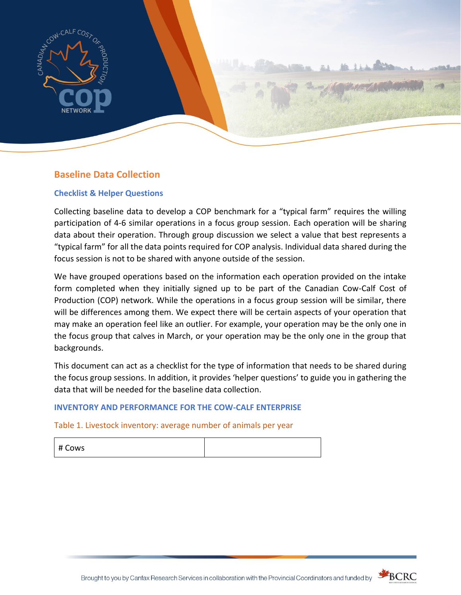

## **Baseline Data Collection**

### **Checklist & Helper Questions**

Collecting baseline data to develop a COP benchmark for a "typical farm" requires the willing participation of 4-6 similar operations in a focus group session. Each operation will be sharing data about their operation. Through group discussion we select a value that best represents a "typical farm" for all the data points required for COP analysis. Individual data shared during the focus session is not to be shared with anyone outside of the session.

We have grouped operations based on the information each operation provided on the intake form completed when they initially signed up to be part of the Canadian Cow-Calf Cost of Production (COP) network. While the operations in a focus group session will be similar, there will be differences among them. We expect there will be certain aspects of your operation that may make an operation feel like an outlier. For example, your operation may be the only one in the focus group that calves in March, or your operation may be the only one in the group that backgrounds.

This document can act as a checklist for the type of information that needs to be shared during the focus group sessions. In addition, it provides 'helper questions' to guide you in gathering the data that will be needed for the baseline data collection.

### **INVENTORY AND PERFORMANCE FOR THE COW-CALF ENTERPRISE**

Table 1. Livestock inventory: average number of animals per year

| # Cows |  |
|--------|--|
|--------|--|



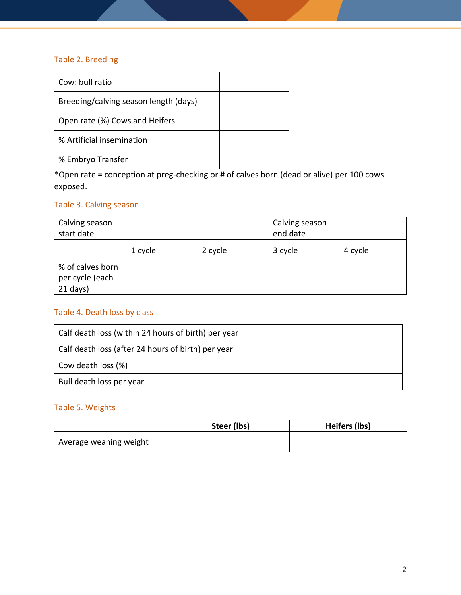## Table 2. Breeding

| Cow: bull ratio                       |  |
|---------------------------------------|--|
| Breeding/calving season length (days) |  |
| Open rate (%) Cows and Heifers        |  |
| % Artificial insemination             |  |
| % Embryo Transfer                     |  |

\*Open rate = conception at preg-checking or # of calves born (dead or alive) per 100 cows exposed.

## Table 3. Calving season

| Calving season<br>start date                      |         |         | Calving season<br>end date |         |
|---------------------------------------------------|---------|---------|----------------------------|---------|
|                                                   | 1 cycle | 2 cycle | 3 cycle                    | 4 cycle |
| % of calves born<br>per cycle (each<br>$21$ days) |         |         |                            |         |

## Table 4. Death loss by class

| Calf death loss (within 24 hours of birth) per year |  |
|-----------------------------------------------------|--|
| Calf death loss (after 24 hours of birth) per year  |  |
| Cow death loss (%)                                  |  |
| Bull death loss per year                            |  |

## Table 5. Weights

|                        | Steer (lbs) | Heifers (lbs) |
|------------------------|-------------|---------------|
| Average weaning weight |             |               |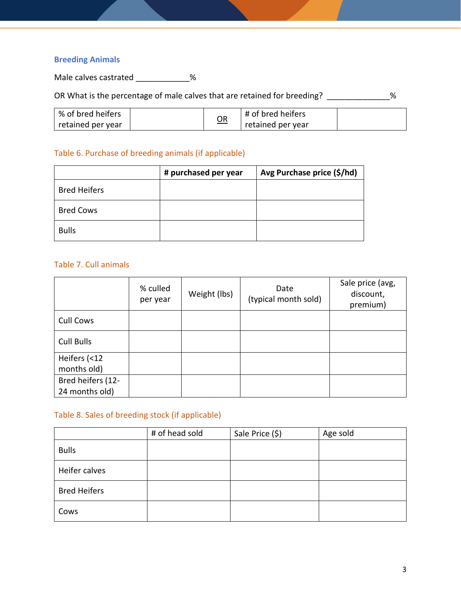## **Breeding Animals**

Male calves castrated \_\_\_\_\_\_\_\_\_\_\_\_\_%

OR What is the percentage of male calves that are retained for breeding? \_\_\_\_\_\_\_\_\_\_\_\_\_%

| ∣% of bred heifers |    | # of bred heifers |  |
|--------------------|----|-------------------|--|
| retained per year  | QR | retained per year |  |

## Table 6. Purchase of breeding animals (if applicable)

|                     | # purchased per year | Avg Purchase price (\$/hd) |
|---------------------|----------------------|----------------------------|
| <b>Bred Heifers</b> |                      |                            |
| <b>Bred Cows</b>    |                      |                            |
| <b>Bulls</b>        |                      |                            |

### Table 7. Cull animals

|                   | % culled<br>per year | Weight (lbs) | Date<br>(typical month sold) | Sale price (avg,<br>discount,<br>premium) |
|-------------------|----------------------|--------------|------------------------------|-------------------------------------------|
| <b>Cull Cows</b>  |                      |              |                              |                                           |
| <b>Cull Bulls</b> |                      |              |                              |                                           |
| Heifers (<12      |                      |              |                              |                                           |
| months old)       |                      |              |                              |                                           |
| Bred heifers (12- |                      |              |                              |                                           |
| 24 months old)    |                      |              |                              |                                           |

## Table 8. Sales of breeding stock (if applicable)

|                     | # of head sold | Sale Price (\$) | Age sold |
|---------------------|----------------|-----------------|----------|
| <b>Bulls</b>        |                |                 |          |
| Heifer calves       |                |                 |          |
| <b>Bred Heifers</b> |                |                 |          |
| Cows                |                |                 |          |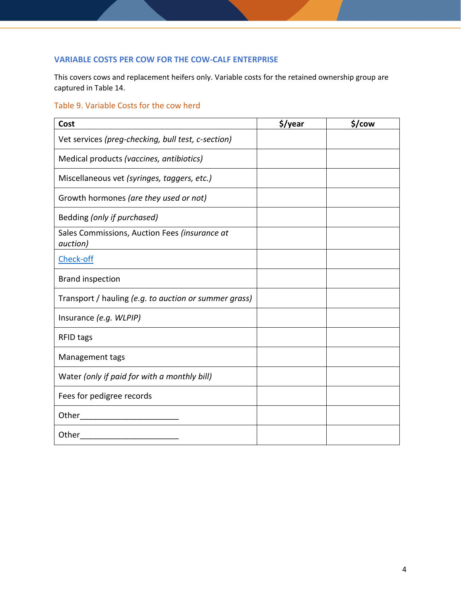## **VARIABLE COSTS PER COW FOR THE COW-CALF ENTERPRISE**

This covers cows and replacement heifers only. Variable costs for the retained ownership group are captured in Table 14.

## Table 9. Variable Costs for the cow herd

| Cost                                                              | \$/year | \$/cow |
|-------------------------------------------------------------------|---------|--------|
| Vet services (preg-checking, bull test, c-section)                |         |        |
| Medical products (vaccines, antibiotics)                          |         |        |
| Miscellaneous vet (syringes, taggers, etc.)                       |         |        |
| Growth hormones (are they used or not)                            |         |        |
| Bedding (only if purchased)                                       |         |        |
| Sales Commissions, Auction Fees (insurance at<br><i>auction</i> ) |         |        |
| Check-off                                                         |         |        |
| <b>Brand inspection</b>                                           |         |        |
| Transport / hauling (e.g. to auction or summer grass)             |         |        |
| Insurance (e.g. WLPIP)                                            |         |        |
| <b>RFID tags</b>                                                  |         |        |
| Management tags                                                   |         |        |
| Water (only if paid for with a monthly bill)                      |         |        |
| Fees for pedigree records                                         |         |        |
|                                                                   |         |        |
| Other                                                             |         |        |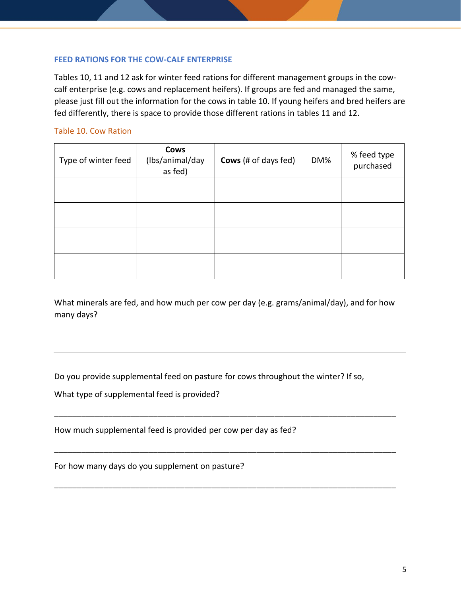### **FEED RATIONS FOR THE COW-CALF ENTERPRISE**

Tables 10, 11 and 12 ask for winter feed rations for different management groups in the cowcalf enterprise (e.g. cows and replacement heifers). If groups are fed and managed the same, please just fill out the information for the cows in table 10. If young heifers and bred heifers are fed differently, there is space to provide those different rations in tables 11 and 12.

### Table 10. Cow Ration

| Type of winter feed | Cows<br>(Ibs/animal/day<br>as fed) | <b>Cows</b> (# of days fed) | DM% | % feed type<br>purchased |
|---------------------|------------------------------------|-----------------------------|-----|--------------------------|
|                     |                                    |                             |     |                          |
|                     |                                    |                             |     |                          |
|                     |                                    |                             |     |                          |
|                     |                                    |                             |     |                          |

What minerals are fed, and how much per cow per day (e.g. grams/animal/day), and for how many days?

\_\_\_\_\_\_\_\_\_\_\_\_\_\_\_\_\_\_\_\_\_\_\_\_\_\_\_\_\_\_\_\_\_\_\_\_\_\_\_\_\_\_\_\_\_\_\_\_\_\_\_\_\_\_\_\_\_\_\_\_\_\_\_\_\_\_\_\_\_\_\_\_\_\_\_\_

\_\_\_\_\_\_\_\_\_\_\_\_\_\_\_\_\_\_\_\_\_\_\_\_\_\_\_\_\_\_\_\_\_\_\_\_\_\_\_\_\_\_\_\_\_\_\_\_\_\_\_\_\_\_\_\_\_\_\_\_\_\_\_\_\_\_\_\_\_\_\_\_\_\_\_\_

\_\_\_\_\_\_\_\_\_\_\_\_\_\_\_\_\_\_\_\_\_\_\_\_\_\_\_\_\_\_\_\_\_\_\_\_\_\_\_\_\_\_\_\_\_\_\_\_\_\_\_\_\_\_\_\_\_\_\_\_\_\_\_\_\_\_\_\_\_\_\_\_\_\_\_\_

Do you provide supplemental feed on pasture for cows throughout the winter? If so,

What type of supplemental feed is provided?

How much supplemental feed is provided per cow per day as fed?

For how many days do you supplement on pasture?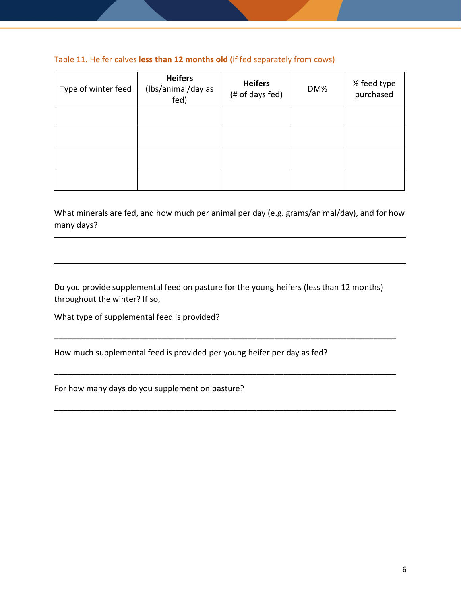## Table 11. Heifer calves **less than 12 months old** (if fed separately from cows)

| Type of winter feed | <b>Heifers</b><br>(Ibs/animal/day as<br>fed) | <b>Heifers</b><br>(# of days fed) | DM% | % feed type<br>purchased |
|---------------------|----------------------------------------------|-----------------------------------|-----|--------------------------|
|                     |                                              |                                   |     |                          |
|                     |                                              |                                   |     |                          |
|                     |                                              |                                   |     |                          |
|                     |                                              |                                   |     |                          |

What minerals are fed, and how much per animal per day (e.g. grams/animal/day), and for how many days?

Do you provide supplemental feed on pasture for the young heifers (less than 12 months) throughout the winter? If so,

\_\_\_\_\_\_\_\_\_\_\_\_\_\_\_\_\_\_\_\_\_\_\_\_\_\_\_\_\_\_\_\_\_\_\_\_\_\_\_\_\_\_\_\_\_\_\_\_\_\_\_\_\_\_\_\_\_\_\_\_\_\_\_\_\_\_\_\_\_\_\_\_\_\_\_\_

\_\_\_\_\_\_\_\_\_\_\_\_\_\_\_\_\_\_\_\_\_\_\_\_\_\_\_\_\_\_\_\_\_\_\_\_\_\_\_\_\_\_\_\_\_\_\_\_\_\_\_\_\_\_\_\_\_\_\_\_\_\_\_\_\_\_\_\_\_\_\_\_\_\_\_\_

\_\_\_\_\_\_\_\_\_\_\_\_\_\_\_\_\_\_\_\_\_\_\_\_\_\_\_\_\_\_\_\_\_\_\_\_\_\_\_\_\_\_\_\_\_\_\_\_\_\_\_\_\_\_\_\_\_\_\_\_\_\_\_\_\_\_\_\_\_\_\_\_\_\_\_\_

What type of supplemental feed is provided?

How much supplemental feed is provided per young heifer per day as fed?

For how many days do you supplement on pasture?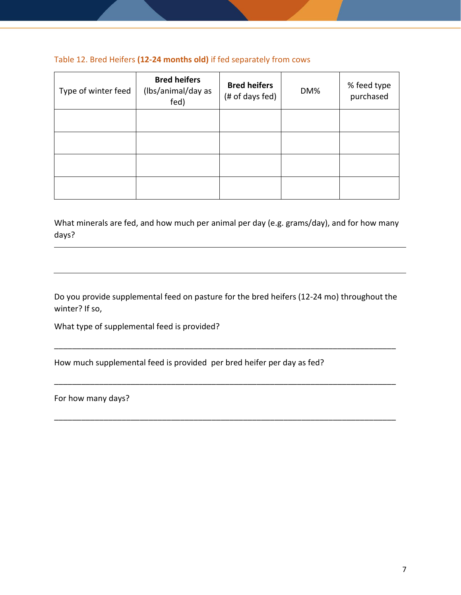## Table 12. Bred Heifers **(12-24 months old)** if fed separately from cows

| Type of winter feed | <b>Bred heifers</b><br>(Ibs/animal/day as<br>fed) | <b>Bred heifers</b><br>(# of days fed) | DM% | % feed type<br>purchased |
|---------------------|---------------------------------------------------|----------------------------------------|-----|--------------------------|
|                     |                                                   |                                        |     |                          |
|                     |                                                   |                                        |     |                          |
|                     |                                                   |                                        |     |                          |
|                     |                                                   |                                        |     |                          |

What minerals are fed, and how much per animal per day (e.g. grams/day), and for how many days?

Do you provide supplemental feed on pasture for the bred heifers (12-24 mo) throughout the winter? If so,

\_\_\_\_\_\_\_\_\_\_\_\_\_\_\_\_\_\_\_\_\_\_\_\_\_\_\_\_\_\_\_\_\_\_\_\_\_\_\_\_\_\_\_\_\_\_\_\_\_\_\_\_\_\_\_\_\_\_\_\_\_\_\_\_\_\_\_\_\_\_\_\_\_\_\_\_

\_\_\_\_\_\_\_\_\_\_\_\_\_\_\_\_\_\_\_\_\_\_\_\_\_\_\_\_\_\_\_\_\_\_\_\_\_\_\_\_\_\_\_\_\_\_\_\_\_\_\_\_\_\_\_\_\_\_\_\_\_\_\_\_\_\_\_\_\_\_\_\_\_\_\_\_

\_\_\_\_\_\_\_\_\_\_\_\_\_\_\_\_\_\_\_\_\_\_\_\_\_\_\_\_\_\_\_\_\_\_\_\_\_\_\_\_\_\_\_\_\_\_\_\_\_\_\_\_\_\_\_\_\_\_\_\_\_\_\_\_\_\_\_\_\_\_\_\_\_\_\_\_

What type of supplemental feed is provided?

How much supplemental feed is provided per bred heifer per day as fed?

For how many days?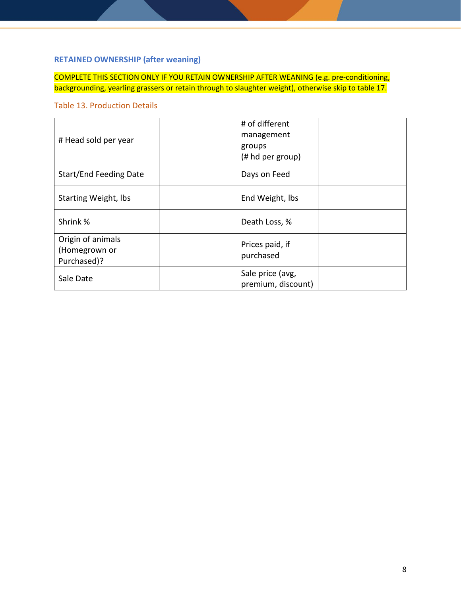## **RETAINED OWNERSHIP (after weaning)**

COMPLETE THIS SECTION ONLY IF YOU RETAIN OWNERSHIP AFTER WEANING (e.g. pre-conditioning, backgrounding, yearling grassers or retain through to slaughter weight), otherwise skip to table 17.

## Table 13. Production Details

| # Head sold per year                              | # of different<br>management<br>groups<br>(# hd per group) |
|---------------------------------------------------|------------------------------------------------------------|
| <b>Start/End Feeding Date</b>                     | Days on Feed                                               |
| <b>Starting Weight, lbs</b>                       | End Weight, lbs                                            |
| Shrink %                                          | Death Loss, %                                              |
| Origin of animals<br>(Homegrown or<br>Purchased)? | Prices paid, if<br>purchased                               |
| Sale Date                                         | Sale price (avg,<br>premium, discount)                     |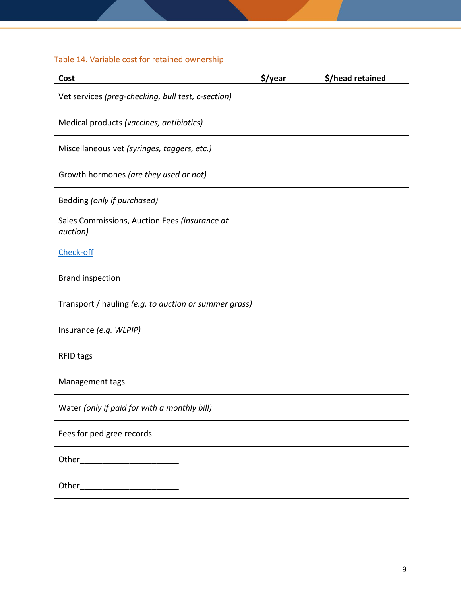# Table 14. Variable cost for retained ownership

| Cost                                                      | \$/year | \$/head retained |
|-----------------------------------------------------------|---------|------------------|
| Vet services (preg-checking, bull test, c-section)        |         |                  |
| Medical products (vaccines, antibiotics)                  |         |                  |
| Miscellaneous vet (syringes, taggers, etc.)               |         |                  |
| Growth hormones (are they used or not)                    |         |                  |
| Bedding (only if purchased)                               |         |                  |
| Sales Commissions, Auction Fees (insurance at<br>auction) |         |                  |
| Check-off                                                 |         |                  |
| <b>Brand inspection</b>                                   |         |                  |
| Transport / hauling (e.g. to auction or summer grass)     |         |                  |
| Insurance (e.g. WLPIP)                                    |         |                  |
| <b>RFID tags</b>                                          |         |                  |
| Management tags                                           |         |                  |
| Water (only if paid for with a monthly bill)              |         |                  |
| Fees for pedigree records                                 |         |                  |
| Other____________________________                         |         |                  |
|                                                           |         |                  |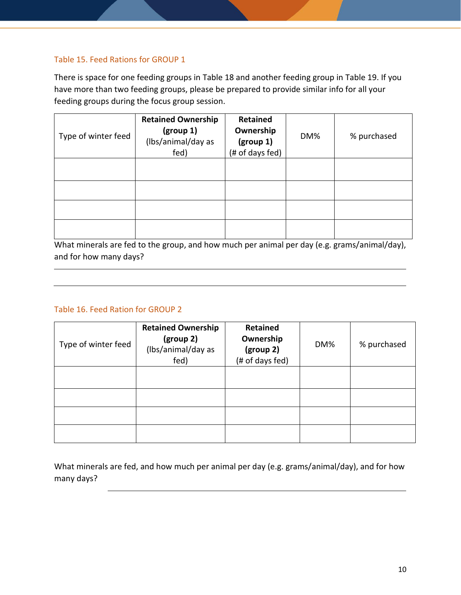## Table 15. Feed Rations for GROUP 1

There is space for one feeding groups in Table 18 and another feeding group in Table 19. If you have more than two feeding groups, please be prepared to provide similar info for all your feeding groups during the focus group session.

| Type of winter feed | <b>Retained Ownership</b><br>(group 1)<br>(Ibs/animal/day as<br>fed) | <b>Retained</b><br>Ownership<br>(group 1)<br>(# of days fed) | DM% | % purchased |
|---------------------|----------------------------------------------------------------------|--------------------------------------------------------------|-----|-------------|
|                     |                                                                      |                                                              |     |             |
|                     |                                                                      |                                                              |     |             |
|                     |                                                                      |                                                              |     |             |
|                     |                                                                      |                                                              |     |             |

What minerals are fed to the group, and how much per animal per day (e.g. grams/animal/day), and for how many days?

## Table 16. Feed Ration for GROUP 2

| Type of winter feed | <b>Retained Ownership</b><br>(group 2)<br>(Ibs/animal/day as<br>fed) | Retained<br>Ownership<br>(group 2)<br>(# of days fed) | DM% | % purchased |
|---------------------|----------------------------------------------------------------------|-------------------------------------------------------|-----|-------------|
|                     |                                                                      |                                                       |     |             |
|                     |                                                                      |                                                       |     |             |
|                     |                                                                      |                                                       |     |             |
|                     |                                                                      |                                                       |     |             |

What minerals are fed, and how much per animal per day (e.g. grams/animal/day), and for how many days?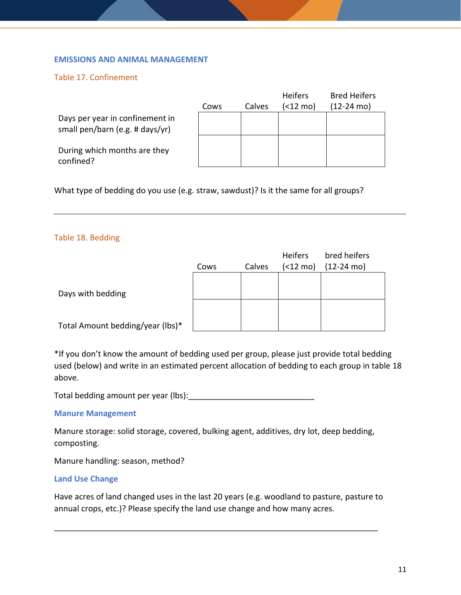#### **EMISSIONS AND ANIMAL MANAGEMENT**

### Table 17. Confinement

|                                                                    | Cows | Calves | <b>Heifers</b><br>(<12 mo) | <b>Bred Heifers</b><br>(12-24 mo) |
|--------------------------------------------------------------------|------|--------|----------------------------|-----------------------------------|
| Days per year in confinement in<br>small pen/barn (e.g. # days/yr) |      |        |                            |                                   |
| During which months are they<br>confined?                          |      |        |                            |                                   |

What type of bedding do you use (e.g. straw, sawdust)? Is it the same for all groups?

#### Table 18. Bedding

|                                  | Cows | Calves | <b>Heifers</b><br>(<12 mo) | bred heifers<br>$(12-24 \text{ mo})$ |
|----------------------------------|------|--------|----------------------------|--------------------------------------|
| Days with bedding                |      |        |                            |                                      |
| Total Amount bedding/year (lbs)* |      |        |                            |                                      |

\*If you don't know the amount of bedding used per group, please just provide total bedding used (below) and write in an estimated percent allocation of bedding to each group in table 18 above.

Total bedding amount per year (lbs):

#### **Manure Management**

Manure storage: solid storage, covered, bulking agent, additives, dry lot, deep bedding, composting.

Manure handling: season, method?

#### **Land Use Change**

Have acres of land changed uses in the last 20 years (e.g. woodland to pasture, pasture to annual crops, etc.)? Please specify the land use change and how many acres.

\_\_\_\_\_\_\_\_\_\_\_\_\_\_\_\_\_\_\_\_\_\_\_\_\_\_\_\_\_\_\_\_\_\_\_\_\_\_\_\_\_\_\_\_\_\_\_\_\_\_\_\_\_\_\_\_\_\_\_\_\_\_\_\_\_\_\_\_\_\_\_\_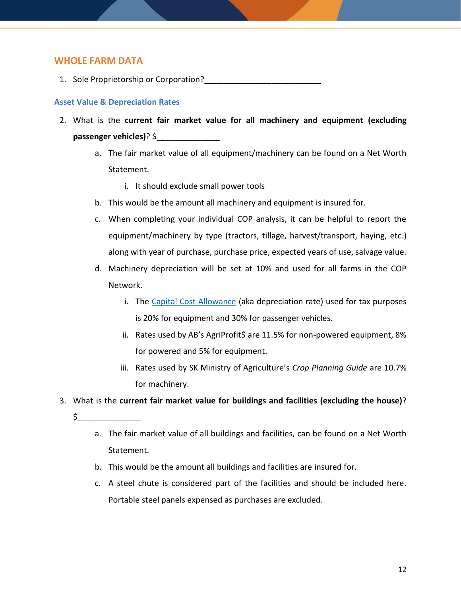## **WHOLE FARM DATA**

1. Sole Proprietorship or Corporation?

### **Asset Value & Depreciation Rates**

- 2. What is the **current fair market value for all machinery and equipment (excluding passenger vehicles)**? \$\_\_\_\_\_\_\_\_\_\_\_\_\_\_
	- a. The fair market value of all equipment/machinery can be found on a Net Worth Statement.
		- i. It should exclude small power tools
	- b. This would be the amount all machinery and equipment is insured for.
	- c. When completing your individual COP analysis, it can be helpful to report the equipment/machinery by type (tractors, tillage, harvest/transport, haying, etc.) along with year of purchase, purchase price, expected years of use, salvage value.
	- d. Machinery depreciation will be set at 10% and used for all farms in the COP Network.
		- i. The [Capital Cost Allowance](https://www.canada.ca/en/revenue-agency/services/forms-publications/publications/t4002/t4002-6.html#tocch4e) (aka depreciation rate) used for tax purposes is 20% for equipment and 30% for passenger vehicles.
		- ii. Rates used by AB's AgriProfit\$ are 11.5% for non-powered equipment, 8% for powered and 5% for equipment.
		- iii. Rates used by SK Ministry of Agriculture's *Crop Planning Guide* are 10.7% for machinery.
- 3. What is the **current fair market value for buildings and facilities (excluding the house)**?
	- $\zeta$ 
		- a. The fair market value of all buildings and facilities, can be found on a Net Worth Statement.
		- b. This would be the amount all buildings and facilities are insured for.
		- c. A steel chute is considered part of the facilities and should be included here. Portable steel panels expensed as purchases are excluded.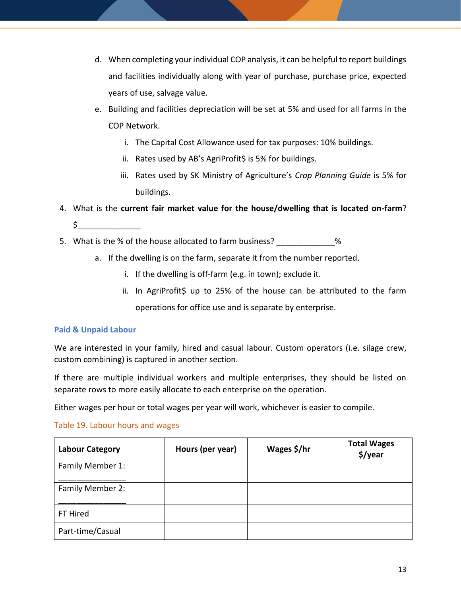- d. When completing your individual COP analysis, it can be helpful to report buildings and facilities individually along with year of purchase, purchase price, expected years of use, salvage value.
- e. Building and facilities depreciation will be set at 5% and used for all farms in the COP Network.
	- i. The Capital Cost Allowance used for tax purposes: 10% buildings.
	- ii. Rates used by AB's AgriProfit\$ is 5% for buildings.
	- iii. Rates used by SK Ministry of Agriculture's *Crop Planning Guide* is 5% for buildings.
- 4. What is the **current fair market value for the house/dwelling that is located on-farm**?  $\zeta_-$
- 5. What is the % of the house allocated to farm business?  $\%$ 
	- a. If the dwelling is on the farm, separate it from the number reported.
		- i. If the dwelling is off-farm (e.g. in town); exclude it.
		- ii. In AgriProfit\$ up to 25% of the house can be attributed to the farm operations for office use and is separate by enterprise.

## **Paid & Unpaid Labour**

We are interested in your family, hired and casual labour. Custom operators (i.e. silage crew, custom combining) is captured in another section.

If there are multiple individual workers and multiple enterprises, they should be listed on separate rows to more easily allocate to each enterprise on the operation.

Either wages per hour or total wages per year will work, whichever is easier to compile.

### Table 19. Labour hours and wages

| <b>Labour Category</b> | Hours (per year) | Wages \$/hr | <b>Total Wages</b><br>\$/year |
|------------------------|------------------|-------------|-------------------------------|
| Family Member 1:       |                  |             |                               |
| Family Member 2:       |                  |             |                               |
| FT Hired               |                  |             |                               |
| Part-time/Casual       |                  |             |                               |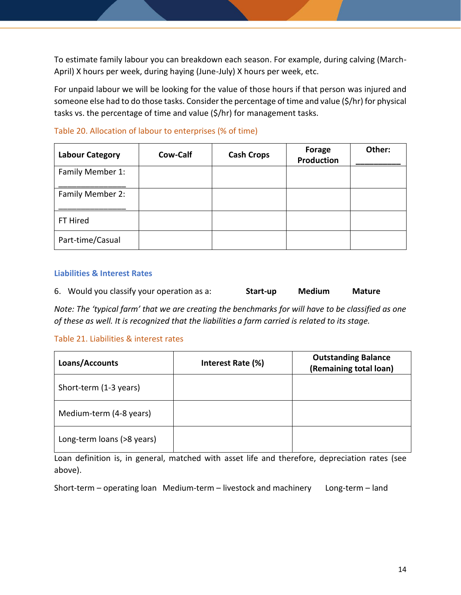To estimate family labour you can breakdown each season. For example, during calving (March-April) X hours per week, during haying (June-July) X hours per week, etc.

For unpaid labour we will be looking for the value of those hours if that person was injured and someone else had to do those tasks. Consider the percentage of time and value (\$/hr) for physical tasks vs. the percentage of time and value (\$/hr) for management tasks.

| <b>Labour Category</b> | Cow-Calf | <b>Cash Crops</b> | <b>Forage</b><br>Production | Other: |
|------------------------|----------|-------------------|-----------------------------|--------|
| Family Member 1:       |          |                   |                             |        |
| Family Member 2:       |          |                   |                             |        |
| FT Hired               |          |                   |                             |        |
| Part-time/Casual       |          |                   |                             |        |

## Table 20. Allocation of labour to enterprises (% of time)

#### **Liabilities & Interest Rates**

6. Would you classify your operation as a: **Start-up Medium Mature**

*Note: The 'typical farm' that we are creating the benchmarks for will have to be classified as one of these as well. It is recognized that the liabilities a farm carried is related to its stage.*

### Table 21. Liabilities & interest rates

| Loans/Accounts             | Interest Rate (%) | <b>Outstanding Balance</b><br>(Remaining total loan) |
|----------------------------|-------------------|------------------------------------------------------|
| Short-term (1-3 years)     |                   |                                                      |
| Medium-term (4-8 years)    |                   |                                                      |
| Long-term loans (>8 years) |                   |                                                      |

Loan definition is, in general, matched with asset life and therefore, depreciation rates (see above).

Short-term – operating loan Medium-term – livestock and machinery Long-term – land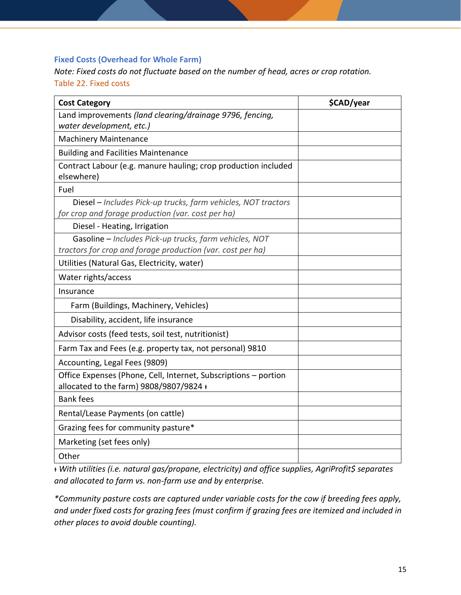## **Fixed Costs (Overhead for Whole Farm)**

*Note: Fixed costs do not fluctuate based on the number of head, acres or crop rotation.* Table 22. Fixed costs

| <b>Cost Category</b>                                                                                                 | \$CAD/year |
|----------------------------------------------------------------------------------------------------------------------|------------|
| Land improvements (land clearing/drainage 9796, fencing,<br>water development, etc.)                                 |            |
| <b>Machinery Maintenance</b>                                                                                         |            |
| <b>Building and Facilities Maintenance</b>                                                                           |            |
| Contract Labour (e.g. manure hauling; crop production included<br>elsewhere)                                         |            |
| Fuel                                                                                                                 |            |
| Diesel - Includes Pick-up trucks, farm vehicles, NOT tractors<br>for crop and forage production (var. cost per ha)   |            |
| Diesel - Heating, Irrigation                                                                                         |            |
| Gasoline - Includes Pick-up trucks, farm vehicles, NOT<br>tractors for crop and forage production (var. cost per ha) |            |
| Utilities (Natural Gas, Electricity, water)                                                                          |            |
| Water rights/access                                                                                                  |            |
| Insurance                                                                                                            |            |
| Farm (Buildings, Machinery, Vehicles)                                                                                |            |
| Disability, accident, life insurance                                                                                 |            |
| Advisor costs (feed tests, soil test, nutritionist)                                                                  |            |
| Farm Tax and Fees (e.g. property tax, not personal) 9810                                                             |            |
| Accounting, Legal Fees (9809)                                                                                        |            |
| Office Expenses (Phone, Cell, Internet, Subscriptions - portion<br>allocated to the farm) 9808/9807/9824 +           |            |
| <b>Bank fees</b>                                                                                                     |            |
| Rental/Lease Payments (on cattle)                                                                                    |            |
| Grazing fees for community pasture*                                                                                  |            |
| Marketing (set fees only)                                                                                            |            |
| Other                                                                                                                |            |

ᵻ *With utilities (i.e. natural gas/propane, electricity) and office supplies, AgriProfit\$ separates and allocated to farm vs. non-farm use and by enterprise.* 

*\*Community pasture costs are captured under variable costs for the cow if breeding fees apply, and under fixed costs for grazing fees (must confirm if grazing fees are itemized and included in other places to avoid double counting).*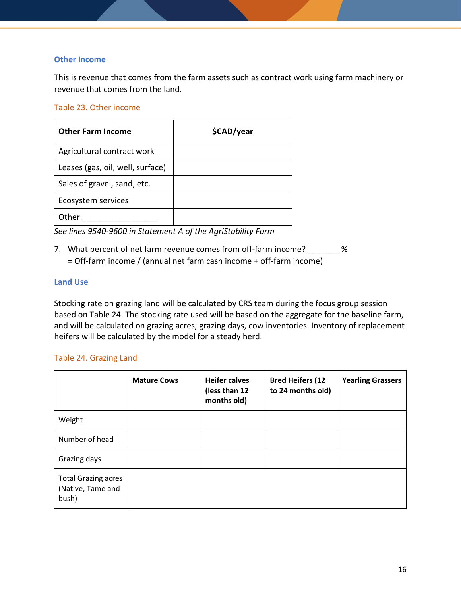### **Other Income**

This is revenue that comes from the farm assets such as contract work using farm machinery or revenue that comes from the land.

### Table 23. Other income

| <b>Other Farm Income</b>         | \$CAD/year |
|----------------------------------|------------|
| Agricultural contract work       |            |
| Leases (gas, oil, well, surface) |            |
| Sales of gravel, sand, etc.      |            |
| Ecosystem services               |            |
| Other                            |            |

*See lines 9540-9600 in Statement A of the AgriStability Form* 

7. What percent of net farm revenue comes from off-farm income?  $\%$ = Off-farm income / (annual net farm cash income + off-farm income)

#### **Land Use**

Stocking rate on grazing land will be calculated by CRS team during the focus group session based on Table 24. The stocking rate used will be based on the aggregate for the baseline farm, and will be calculated on grazing acres, grazing days, cow inventories. Inventory of replacement heifers will be calculated by the model for a steady herd.

### Table 24. Grazing Land

|                                                          | <b>Mature Cows</b> | <b>Heifer calves</b><br>(less than 12<br>months old) | <b>Bred Heifers (12</b><br>to 24 months old) | <b>Yearling Grassers</b> |
|----------------------------------------------------------|--------------------|------------------------------------------------------|----------------------------------------------|--------------------------|
| Weight                                                   |                    |                                                      |                                              |                          |
| Number of head                                           |                    |                                                      |                                              |                          |
| Grazing days                                             |                    |                                                      |                                              |                          |
| <b>Total Grazing acres</b><br>(Native, Tame and<br>bush) |                    |                                                      |                                              |                          |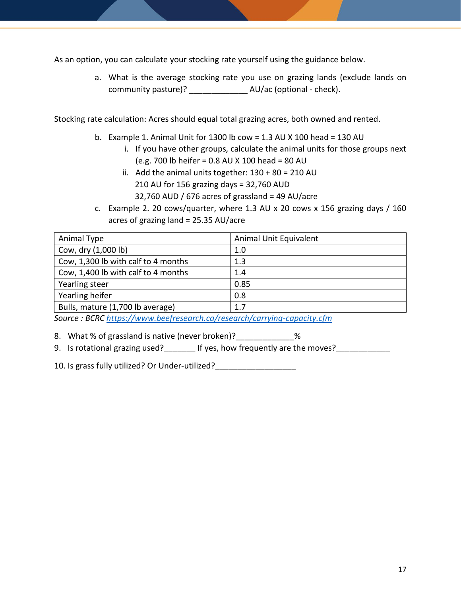As an option, you can calculate your stocking rate yourself using the guidance below.

a. What is the average stocking rate you use on grazing lands (exclude lands on community pasture)? \_\_\_\_\_\_\_\_\_\_\_\_\_ AU/ac (optional - check).

Stocking rate calculation: Acres should equal total grazing acres, both owned and rented.

- b. Example 1. Animal Unit for 1300 lb cow = 1.3 AU X 100 head = 130 AU
	- i. If you have other groups, calculate the animal units for those groups next (e.g. 700 lb heifer = 0.8 AU X 100 head = 80 AU
	- ii. Add the animal units together:  $130 + 80 = 210$  AU 210 AU for 156 grazing days = 32,760 AUD 32,760 AUD / 676 acres of grassland = 49 AU/acre
- c. Example 2. 20 cows/quarter, where 1.3 AU x 20 cows x 156 grazing days / 160 acres of grazing land = 25.35 AU/acre

| Animal Type                                                                                                                                                                                                                                                         | Animal Unit Equivalent |  |
|---------------------------------------------------------------------------------------------------------------------------------------------------------------------------------------------------------------------------------------------------------------------|------------------------|--|
| Cow, dry (1,000 lb)                                                                                                                                                                                                                                                 | 1.0                    |  |
| Cow, 1,300 lb with calf to 4 months                                                                                                                                                                                                                                 | 1.3                    |  |
| Cow, 1,400 lb with calf to 4 months                                                                                                                                                                                                                                 | 1.4                    |  |
| Yearling steer                                                                                                                                                                                                                                                      | 0.85                   |  |
| Yearling heifer                                                                                                                                                                                                                                                     | 0.8                    |  |
| Bulls, mature (1,700 lb average)                                                                                                                                                                                                                                    | 1.7                    |  |
| $\mathcal{C}_{\mathcal{C}}$ and $\mathcal{D}(\mathcal{C})$ and $\mathcal{C}_{\mathcal{C}}$ are the set of the set of the set of the set of the set of the set of the set of the set of the set of the set of the set of the set of the set of the set of the set of |                        |  |

*Source : BCRC<https://www.beefresearch.ca/research/carrying-capacity.cfm>*

8. What % of grassland is native (never broken)? \_\_\_\_\_\_\_\_\_\_\_\_\_%

9. Is rotational grazing used? If yes, how frequently are the moves?

10. Is grass fully utilized? Or Under-utilized?\_\_\_\_\_\_\_\_\_\_\_\_\_\_\_\_\_\_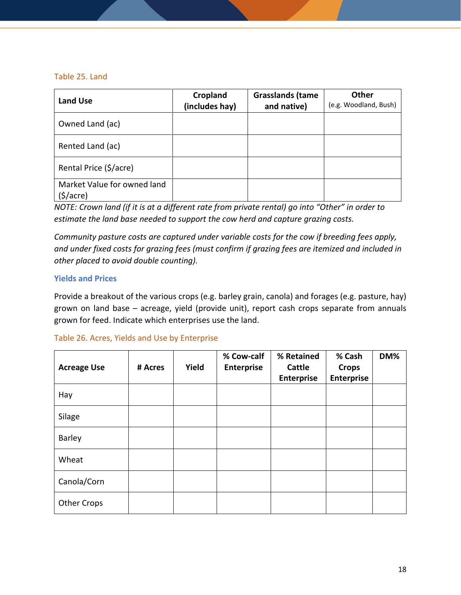### Table 25. Land

| Land Use                                             | Cropland<br>(includes hay) | <b>Grasslands (tame</b><br>and native) | <b>Other</b><br>(e.g. Woodland, Bush) |
|------------------------------------------------------|----------------------------|----------------------------------------|---------------------------------------|
| Owned Land (ac)                                      |                            |                                        |                                       |
| Rented Land (ac)                                     |                            |                                        |                                       |
| Rental Price (\$/acre)                               |                            |                                        |                                       |
| Market Value for owned land<br>$(\frac{1}{2})accre)$ |                            |                                        |                                       |

*NOTE: Crown land (if it is at a different rate from private rental) go into "Other" in order to estimate the land base needed to support the cow herd and capture grazing costs.*

*Community pasture costs are captured under variable costs for the cow if breeding fees apply, and under fixed costs for grazing fees (must confirm if grazing fees are itemized and included in other placed to avoid double counting).*

### **Yields and Prices**

Provide a breakout of the various crops (e.g. barley grain, canola) and forages (e.g. pasture, hay) grown on land base – acreage, yield (provide unit), report cash crops separate from annuals grown for feed. Indicate which enterprises use the land.

### Table 26. Acres, Yields and Use by Enterprise

| <b>Acreage Use</b> | # Acres | Yield | % Cow-calf<br><b>Enterprise</b> | % Retained<br><b>Cattle</b><br><b>Enterprise</b> | % Cash<br><b>Crops</b><br><b>Enterprise</b> | DM% |
|--------------------|---------|-------|---------------------------------|--------------------------------------------------|---------------------------------------------|-----|
| Hay                |         |       |                                 |                                                  |                                             |     |
| Silage             |         |       |                                 |                                                  |                                             |     |
| <b>Barley</b>      |         |       |                                 |                                                  |                                             |     |
| Wheat              |         |       |                                 |                                                  |                                             |     |
| Canola/Corn        |         |       |                                 |                                                  |                                             |     |
| <b>Other Crops</b> |         |       |                                 |                                                  |                                             |     |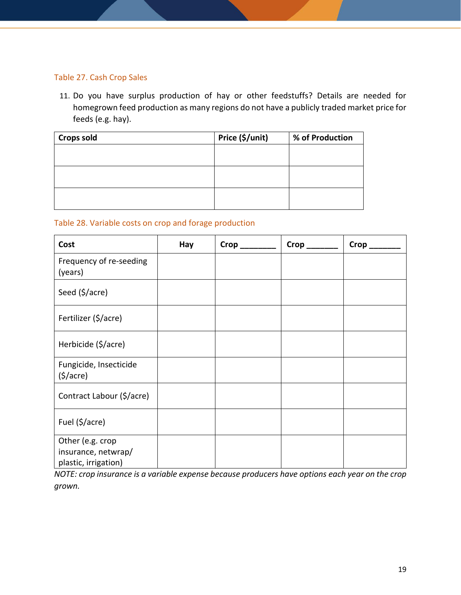### Table 27. Cash Crop Sales

11. Do you have surplus production of hay or other feedstuffs? Details are needed for homegrown feed production as many regions do not have a publicly traded market price for feeds (e.g. hay).

| <b>Crops sold</b> | Price (\$/unit) | % of Production |
|-------------------|-----------------|-----------------|
|                   |                 |                 |
|                   |                 |                 |
|                   |                 |                 |
|                   |                 |                 |
|                   |                 |                 |
|                   |                 |                 |

### Table 28. Variable costs on crop and forage production

| Cost                                                            | Hay | Crop | $Crop$ <sub>___</sub> | $Crop$ <sub>-</sub> |
|-----------------------------------------------------------------|-----|------|-----------------------|---------------------|
| Frequency of re-seeding<br>(years)                              |     |      |                       |                     |
| Seed (\$/acre)                                                  |     |      |                       |                     |
| Fertilizer (\$/acre)                                            |     |      |                       |                     |
| Herbicide (\$/acre)                                             |     |      |                       |                     |
| Fungicide, Insecticide<br>$($ \$/acre $)$                       |     |      |                       |                     |
| Contract Labour (\$/acre)                                       |     |      |                       |                     |
| Fuel $(\frac{5}{\sqrt{3}})$                                     |     |      |                       |                     |
| Other (e.g. crop<br>insurance, netwrap/<br>plastic, irrigation) |     |      |                       |                     |

*NOTE: crop insurance is a variable expense because producers have options each year on the crop grown.*